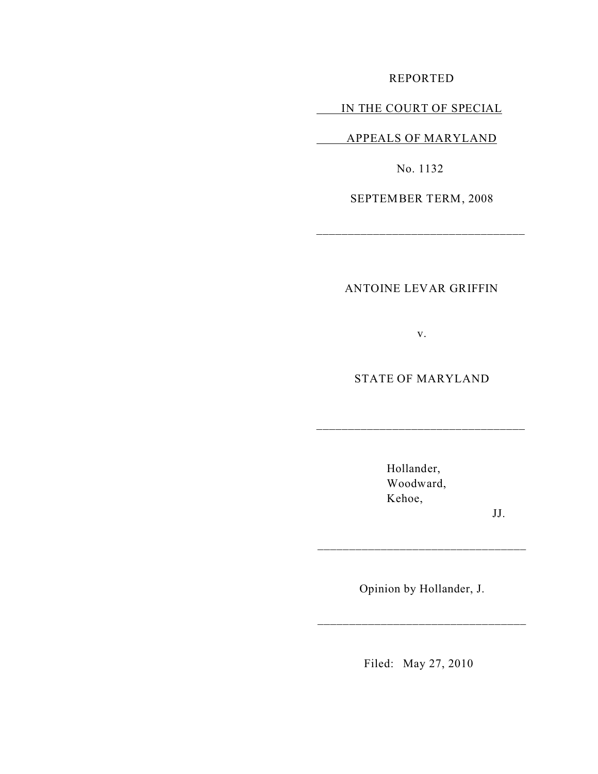REPORTED

## IN THE COURT OF SPECIAL

APPEALS OF MARYLAND

No. 1132

SEPTEMBER TERM, 2008

\_\_\_\_\_\_\_\_\_\_\_\_\_\_\_\_\_\_\_\_\_\_\_\_\_\_\_\_\_\_\_\_\_

ANTOINE LEVAR GRIFFIN

v.

STATE OF MARYLAND

\_\_\_\_\_\_\_\_\_\_\_\_\_\_\_\_\_\_\_\_\_\_\_\_\_\_\_\_\_\_\_\_\_

Hollander, Woodward, Kehoe,

JJ.

Opinion by Hollander, J.

\_\_\_\_\_\_\_\_\_\_\_\_\_\_\_\_\_\_\_\_\_\_\_\_\_\_\_\_\_\_\_\_\_

\_\_\_\_\_\_\_\_\_\_\_\_\_\_\_\_\_\_\_\_\_\_\_\_\_\_\_\_\_\_\_\_\_

Filed: May 27, 2010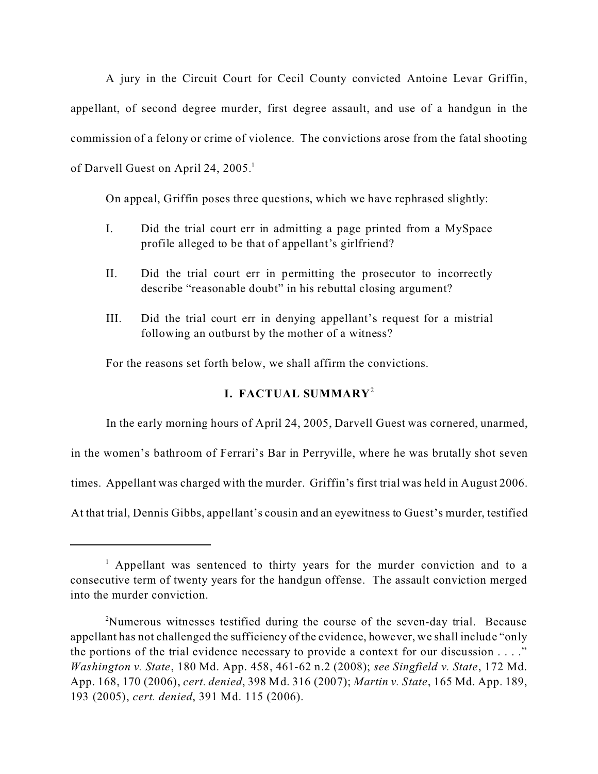A jury in the Circuit Court for Cecil County convicted Antoine Levar Griffin, appellant, of second degree murder, first degree assault, and use of a handgun in the commission of a felony or crime of violence. The convictions arose from the fatal shooting of Darvell Guest on April 24, 2005.<sup>1</sup>

On appeal, Griffin poses three questions, which we have rephrased slightly:

- I. Did the trial court err in admitting a page printed from a MySpace profile alleged to be that of appellant's girlfriend?
- II. Did the trial court err in permitting the prosecutor to incorrectly describe "reasonable doubt" in his rebuttal closing argument?
- III. Did the trial court err in denying appellant's request for a mistrial following an outburst by the mother of a witness?

For the reasons set forth below, we shall affirm the convictions.

# **I. FACTUAL SUMMARY**<sup>2</sup>

In the early morning hours of April 24, 2005, Darvell Guest was cornered, unarmed,

in the women's bathroom of Ferrari's Bar in Perryville, where he was brutally shot seven

times. Appellant was charged with the murder. Griffin's first trial was held in August 2006.

At that trial, Dennis Gibbs, appellant's cousin and an eyewitness to Guest's murder, testified

<sup>&</sup>lt;sup>1</sup> Appellant was sentenced to thirty years for the murder conviction and to a consecutive term of twenty years for the handgun offense. The assault conviction merged into the murder conviction.

<sup>&</sup>lt;sup>2</sup>Numerous witnesses testified during the course of the seven-day trial. Because appellant has not challenged the sufficiency of the evidence, however, we shall include "only the portions of the trial evidence necessary to provide a context for our discussion  $\dots$ ." *Washington v. State*, 180 Md. App. 458, 461-62 n.2 (2008); *see Singfield v. State*, 172 Md. App. 168, 170 (2006), *cert. denied*, 398 Md. 316 (2007); *Martin v. State*, 165 Md. App. 189, 193 (2005), *cert. denied*, 391 Md. 115 (2006).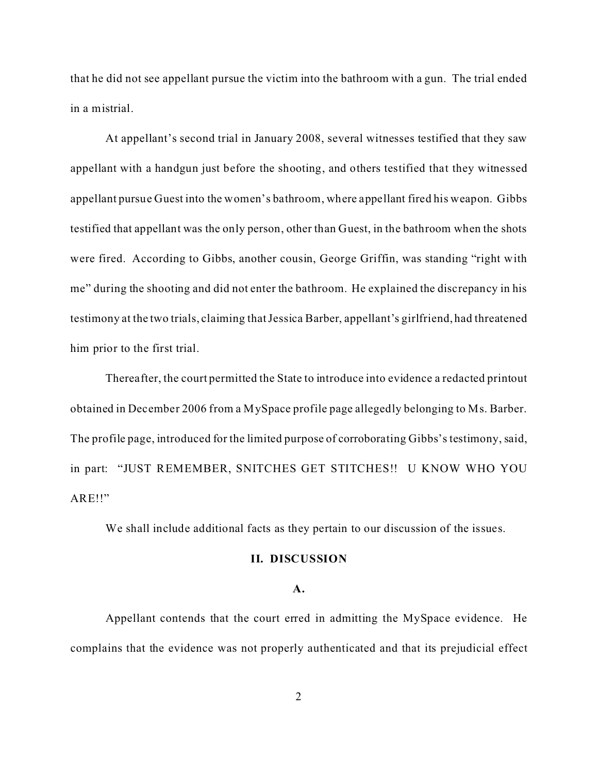that he did not see appellant pursue the victim into the bathroom with a gun. The trial ended in a mistrial.

At appellant's second trial in January 2008, several witnesses testified that they saw appellant with a handgun just before the shooting, and others testified that they witnessed appellant pursue Guest into the women's bathroom, where appellant fired his weapon. Gibbs testified that appellant was the only person, other than Guest, in the bathroom when the shots were fired. According to Gibbs, another cousin, George Griffin, was standing "right with me" during the shooting and did not enter the bathroom. He explained the discrepancy in his testimony at the two trials, claiming that Jessica Barber, appellant's girlfriend, had threatened him prior to the first trial.

Thereafter, the court permitted the State to introduce into evidence a redacted printout obtained in December 2006 from a MySpace profile page allegedly belonging to Ms. Barber. The profile page, introduced for the limited purpose of corroborating Gibbs's testimony, said, in part: "JUST REMEMBER, SNITCHES GET STITCHES!! U KNOW WHO YOU ARE!!"

We shall include additional facts as they pertain to our discussion of the issues.

## **II. DISCUSSION**

#### **A.**

Appellant contends that the court erred in admitting the MySpace evidence. He complains that the evidence was not properly authenticated and that its prejudicial effect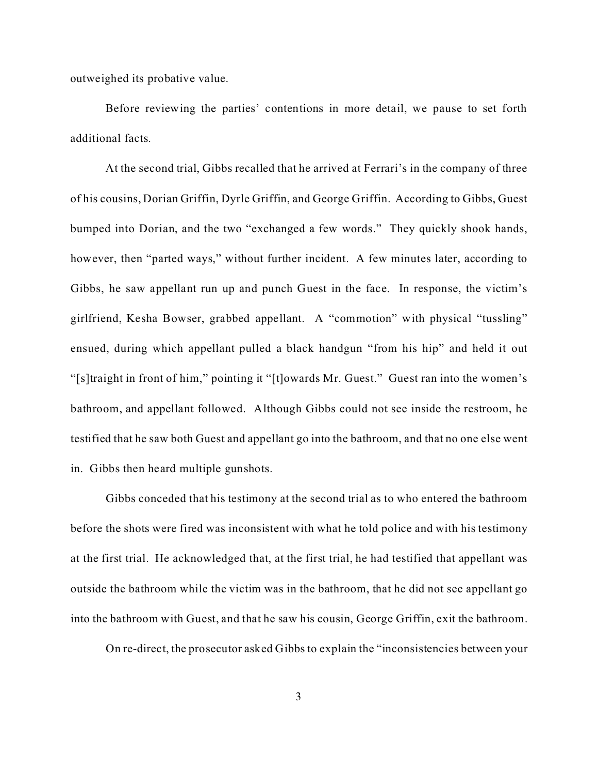outweighed its probative value.

Before reviewing the parties' contentions in more detail, we pause to set forth additional facts.

At the second trial, Gibbs recalled that he arrived at Ferrari's in the company of three of his cousins, Dorian Griffin, Dyrle Griffin, and George Griffin. According to Gibbs, Guest bumped into Dorian, and the two "exchanged a few words." They quickly shook hands, however, then "parted ways," without further incident. A few minutes later, according to Gibbs, he saw appellant run up and punch Guest in the face. In response, the victim's girlfriend, Kesha Bowser, grabbed appellant. A "commotion" with physical "tussling" ensued, during which appellant pulled a black handgun "from his hip" and held it out "[s]traight in front of him," pointing it "[t]owards Mr. Guest." Guest ran into the women's bathroom, and appellant followed. Although Gibbs could not see inside the restroom, he testified that he saw both Guest and appellant go into the bathroom, and that no one else went in. Gibbs then heard multiple gunshots.

Gibbs conceded that his testimony at the second trial as to who entered the bathroom before the shots were fired was inconsistent with what he told police and with his testimony at the first trial. He acknowledged that, at the first trial, he had testified that appellant was outside the bathroom while the victim was in the bathroom, that he did not see appellant go into the bathroom with Guest, and that he saw his cousin, George Griffin, exit the bathroom.

On re-direct, the prosecutor asked Gibbs to explain the "inconsistencies between your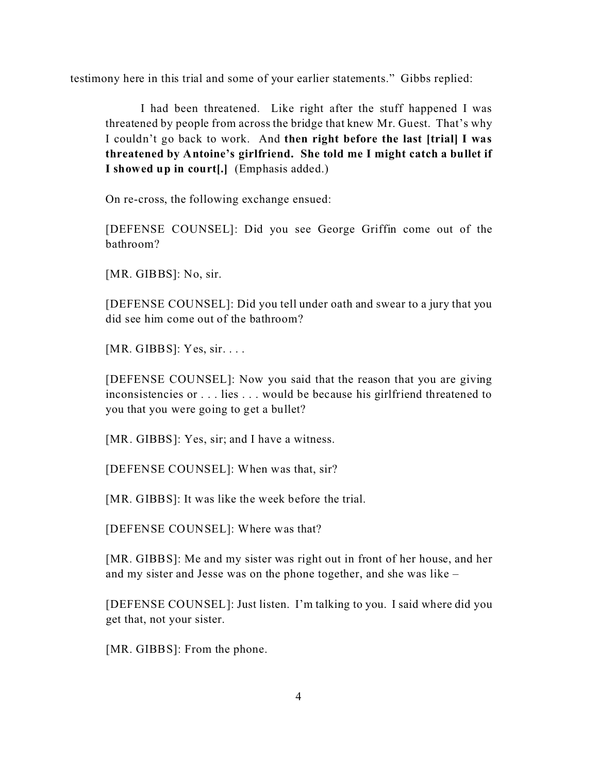testimony here in this trial and some of your earlier statements." Gibbs replied:

I had been threatened. Like right after the stuff happened I was threatened by people from across the bridge that knew Mr. Guest. That's why I couldn't go back to work. And **then right before the last [trial] I was threatened by Antoine's girlfriend. She told me I might catch a bullet if I showed up in court[.]** (Emphasis added.)

On re-cross, the following exchange ensued:

[DEFENSE COUNSEL]: Did you see George Griffin come out of the bathroom?

[MR. GIBBS]: No, sir.

[DEFENSE COUNSEL]: Did you tell under oath and swear to a jury that you did see him come out of the bathroom?

[ $MR.$  GIBBS]: Yes, sir. . . .

[DEFENSE COUNSEL]: Now you said that the reason that you are giving inconsistencies or . . . lies . . . would be because his girlfriend threatened to you that you were going to get a bullet?

[MR. GIBBS]: Yes, sir; and I have a witness.

[DEFENSE COUNSEL]: When was that, sir?

[MR. GIBBS]: It was like the week before the trial.

[DEFENSE COUNSEL]: Where was that?

[MR. GIBBS]: Me and my sister was right out in front of her house, and her and my sister and Jesse was on the phone together, and she was like –

[DEFENSE COUNSEL]: Just listen. I'm talking to you. I said where did you get that, not your sister.

[MR. GIBBS]: From the phone.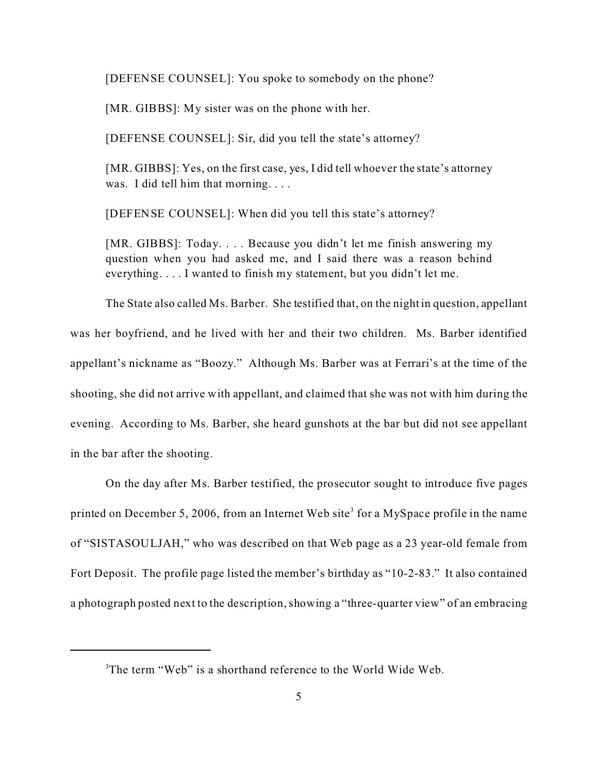[DEFENSE COUNSEL]: You spoke to somebody on the phone?

[MR. GIBBS]: My sister was on the phone with her.

[DEFENSE COUNSEL]: Sir, did you tell the state's attorney?

[MR. GIBBS]: Yes, on the first case, yes, I did tell whoever the state's attorney was. I did tell him that morning....

[DEFENSE COUNSEL]: When did you tell this state's attorney?

[MR. GIBBS]: Today. . . . Because you didn't let me finish answering my question when you had asked me, and I said there was a reason behind everything. . . . I wanted to finish my statement, but you didn't let me.

The State also called Ms. Barber. She testified that, on the night in question, appellant was her boyfriend, and he lived with her and their two children. Ms. Barber identified appellant's nickname as "Boozy." Although Ms. Barber was at Ferrari's at the time of the shooting, she did not arrive with appellant, and claimed that she was not with him during the evening. According to Ms. Barber, she heard gunshots at the bar but did not see appellant in the bar after the shooting.

On the day after Ms. Barber testified, the prosecutor sought to introduce five pages printed on December 5, 2006, from an Internet Web site<sup>3</sup> for a MySpace profile in the name of "SISTASOULJAH," who was described on that Web page as a 23 year-old female from Fort Deposit. The profile page listed the member's birthday as "10-2-83." It also contained a photograph posted next to the description, showing a "three-quarter view" of an embracing

<sup>&</sup>lt;sup>3</sup>The term "Web" is a shorthand reference to the World Wide Web.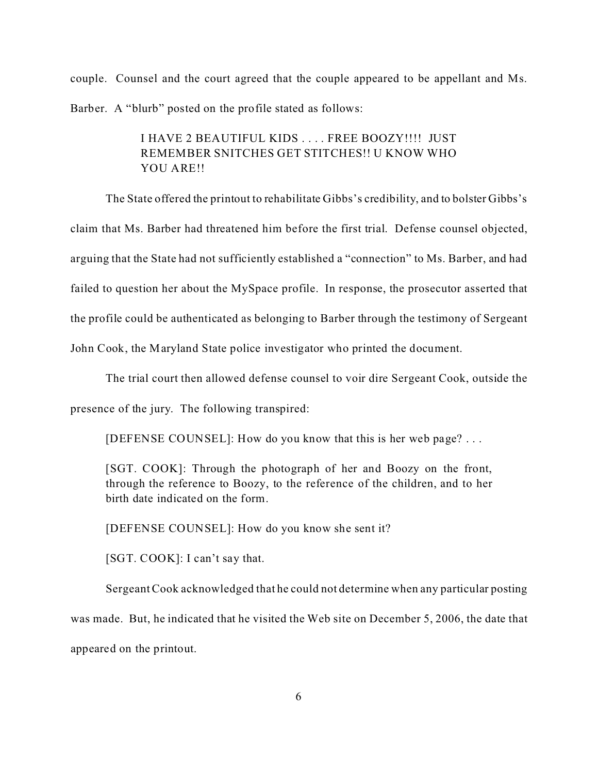couple. Counsel and the court agreed that the couple appeared to be appellant and Ms. Barber. A "blurb" posted on the profile stated as follows:

# I HAVE 2 BEAUTIFUL KIDS . . . . FREE BOOZY!!!! JUST REMEMBER SNITCHES GET STITCHES!! U KNOW WHO YOU ARE!!

The State offered the printout to rehabilitate Gibbs's credibility, and to bolster Gibbs's claim that Ms. Barber had threatened him before the first trial. Defense counsel objected, arguing that the State had not sufficiently established a "connection" to Ms. Barber, and had failed to question her about the MySpace profile. In response, the prosecutor asserted that the profile could be authenticated as belonging to Barber through the testimony of Sergeant John Cook, the Maryland State police investigator who printed the document.

The trial court then allowed defense counsel to voir dire Sergeant Cook, outside the

presence of the jury. The following transpired:

[DEFENSE COUNSEL]: How do you know that this is her web page? . . .

[SGT. COOK]: Through the photograph of her and Boozy on the front, through the reference to Boozy, to the reference of the children, and to her birth date indicated on the form.

[DEFENSE COUNSEL]: How do you know she sent it?

[SGT. COOK]: I can't say that.

Sergeant Cook acknowledged that he could not determine when any particular posting was made. But, he indicated that he visited the Web site on December 5, 2006, the date that appeared on the printout.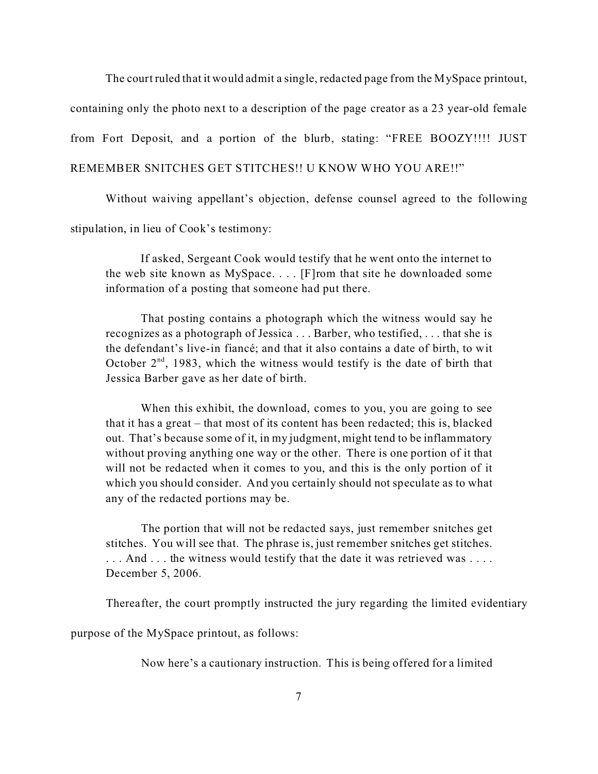The court ruled that it would admit a single, redacted page from the MySpace printout, containing only the photo next to a description of the page creator as a 23 year-old female from Fort Deposit, and a portion of the blurb, stating: "FREE BOOZY!!!! JUST REMEMBER SNITCHES GET STITCHES!! U KNOW WHO YOU ARE!!"

Without waiving appellant's objection, defense counsel agreed to the following

stipulation, in lieu of Cook's testimony:

If asked, Sergeant Cook would testify that he went onto the internet to the web site known as MySpace. . . . [F]rom that site he downloaded some information of a posting that someone had put there.

That posting contains a photograph which the witness would say he recognizes as a photograph of Jessica . . . Barber, who testified, . . . that she is the defendant's live-in fiancé; and that it also contains a date of birth, to wit October  $2<sup>nd</sup>$ , 1983, which the witness would testify is the date of birth that Jessica Barber gave as her date of birth.

When this exhibit, the download, comes to you, you are going to see that it has a great – that most of its content has been redacted; this is, blacked out. That's because some of it, in my judgment, might tend to be inflammatory without proving anything one way or the other. There is one portion of it that will not be redacted when it comes to you, and this is the only portion of it which you should consider. And you certainly should not speculate as to what any of the redacted portions may be.

The portion that will not be redacted says, just remember snitches get stitches. You will see that. The phrase is, just remember snitches get stitches. ... And ... the witness would testify that the date it was retrieved was .... December 5, 2006.

Thereafter, the court promptly instructed the jury regarding the limited evidentiary

purpose of the MySpace printout, as follows:

Now here's a cautionary instruction. This is being offered for a limited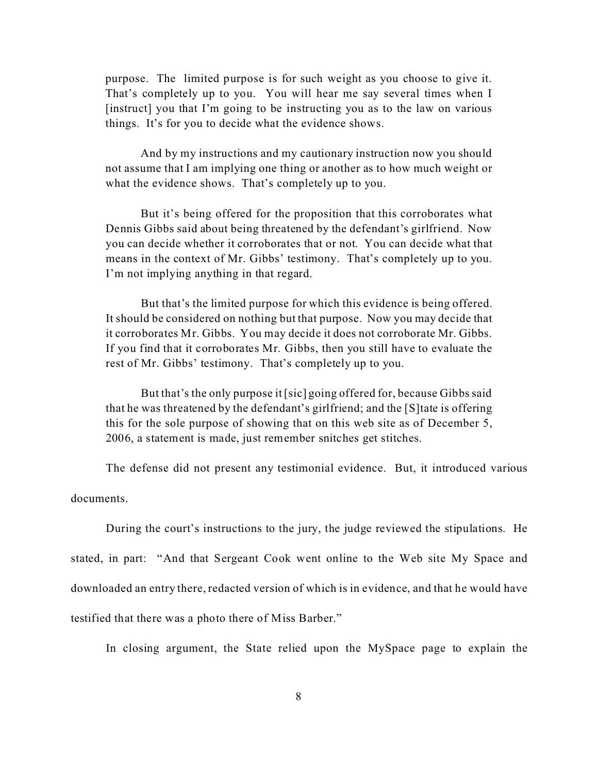purpose. The limited purpose is for such weight as you choose to give it. That's completely up to you. You will hear me say several times when I [instruct] you that I'm going to be instructing you as to the law on various things. It's for you to decide what the evidence shows.

And by my instructions and my cautionary instruction now you should not assume that I am implying one thing or another as to how much weight or what the evidence shows. That's completely up to you.

But it's being offered for the proposition that this corroborates what Dennis Gibbs said about being threatened by the defendant's girlfriend. Now you can decide whether it corroborates that or not. You can decide what that means in the context of Mr. Gibbs' testimony. That's completely up to you. I'm not implying anything in that regard.

But that's the limited purpose for which this evidence is being offered. It should be considered on nothing but that purpose. Now you may decide that it corroborates Mr. Gibbs. You may decide it does not corroborate Mr. Gibbs. If you find that it corroborates Mr. Gibbs, then you still have to evaluate the rest of Mr. Gibbs' testimony. That's completely up to you.

But that's the only purpose it [sic] going offered for, because Gibbs said that he was threatened by the defendant's girlfriend; and the [S]tate is offering this for the sole purpose of showing that on this web site as of December 5, 2006, a statement is made, just remember snitches get stitches.

The defense did not present any testimonial evidence. But, it introduced various

documents.

During the court's instructions to the jury, the judge reviewed the stipulations. He stated, in part: "And that Sergeant Cook went online to the Web site My Space and downloaded an entry there, redacted version of which is in evidence, and that he would have testified that there was a photo there of Miss Barber."

In closing argument, the State relied upon the MySpace page to explain the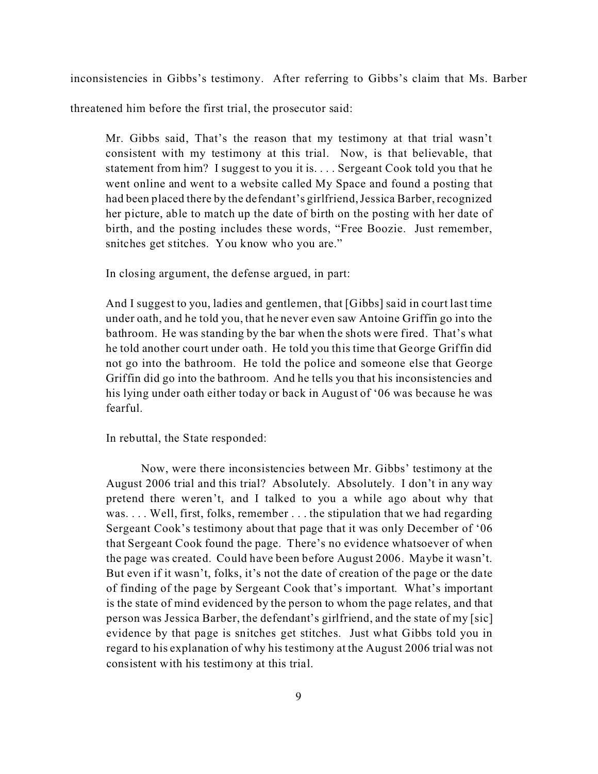inconsistencies in Gibbs's testimony. After referring to Gibbs's claim that Ms. Barber

threatened him before the first trial, the prosecutor said:

Mr. Gibbs said, That's the reason that my testimony at that trial wasn't consistent with my testimony at this trial. Now, is that believable, that statement from him? I suggest to you it is. . . . Sergeant Cook told you that he went online and went to a website called My Space and found a posting that had been placed there by the defendant's girlfriend, Jessica Barber, recognized her picture, able to match up the date of birth on the posting with her date of birth, and the posting includes these words, "Free Boozie. Just remember, snitches get stitches. You know who you are."

In closing argument, the defense argued, in part:

And I suggest to you, ladies and gentlemen, that [Gibbs] said in court last time under oath, and he told you, that he never even saw Antoine Griffin go into the bathroom. He was standing by the bar when the shots were fired. That's what he told another court under oath. He told you this time that George Griffin did not go into the bathroom. He told the police and someone else that George Griffin did go into the bathroom. And he tells you that his inconsistencies and his lying under oath either today or back in August of '06 was because he was fearful.

In rebuttal, the State responded:

Now, were there inconsistencies between Mr. Gibbs' testimony at the August 2006 trial and this trial? Absolutely. Absolutely. I don't in any way pretend there weren't, and I talked to you a while ago about why that was. . . . Well, first, folks, remember . . . the stipulation that we had regarding Sergeant Cook's testimony about that page that it was only December of '06 that Sergeant Cook found the page. There's no evidence whatsoever of when the page was created. Could have been before August 2006. Maybe it wasn't. But even if it wasn't, folks, it's not the date of creation of the page or the date of finding of the page by Sergeant Cook that's important. What's important is the state of mind evidenced by the person to whom the page relates, and that person was Jessica Barber, the defendant's girlfriend, and the state of my [sic] evidence by that page is snitches get stitches. Just what Gibbs told you in regard to his explanation of why his testimony at the August 2006 trial was not consistent with his testimony at this trial.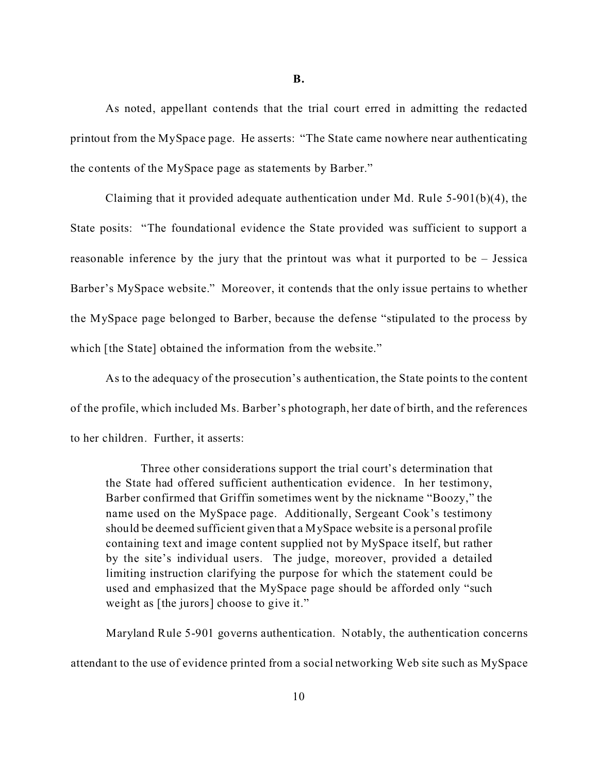**B.**

As noted, appellant contends that the trial court erred in admitting the redacted printout from the MySpace page. He asserts: "The State came nowhere near authenticating the contents of the MySpace page as statements by Barber."

Claiming that it provided adequate authentication under Md. Rule 5-901(b)(4), the State posits: "The foundational evidence the State provided was sufficient to support a reasonable inference by the jury that the printout was what it purported to be – Jessica Barber's MySpace website." Moreover, it contends that the only issue pertains to whether the MySpace page belonged to Barber, because the defense "stipulated to the process by which [the State] obtained the information from the website."

As to the adequacy of the prosecution's authentication, the State points to the content of the profile, which included Ms. Barber's photograph, her date of birth, and the references to her children. Further, it asserts:

Three other considerations support the trial court's determination that the State had offered sufficient authentication evidence. In her testimony, Barber confirmed that Griffin sometimes went by the nickname "Boozy," the name used on the MySpace page. Additionally, Sergeant Cook's testimony should be deemed sufficient given that a MySpace website is a personal profile containing text and image content supplied not by MySpace itself, but rather by the site's individual users. The judge, moreover, provided a detailed limiting instruction clarifying the purpose for which the statement could be used and emphasized that the MySpace page should be afforded only "such weight as [the jurors] choose to give it."

Maryland Rule 5-901 governs authentication. Notably, the authentication concerns attendant to the use of evidence printed from a social networking Web site such as MySpace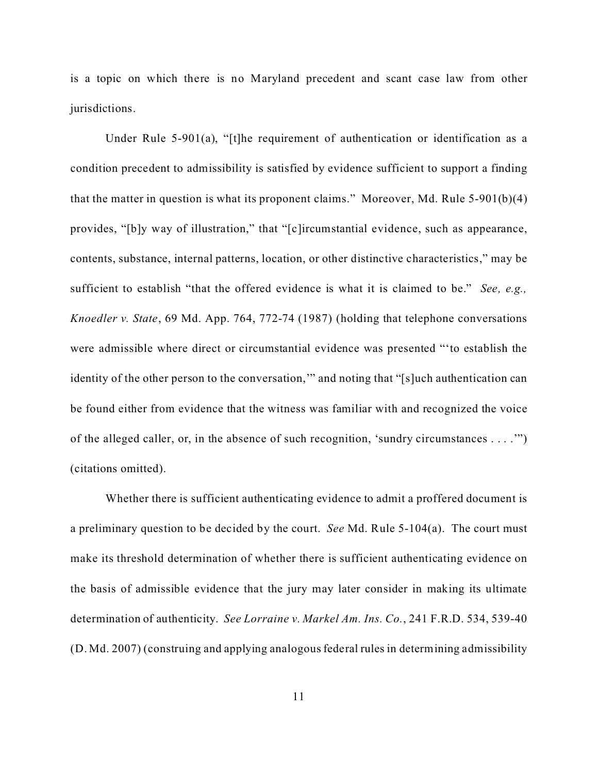is a topic on which there is no Maryland precedent and scant case law from other jurisdictions.

Under Rule 5-901(a), "[t]he requirement of authentication or identification as a condition precedent to admissibility is satisfied by evidence sufficient to support a finding that the matter in question is what its proponent claims." Moreover, Md. Rule 5-901(b)(4) provides, "[b]y way of illustration," that "[c]ircumstantial evidence, such as appearance, contents, substance, internal patterns, location, or other distinctive characteristics," may be sufficient to establish "that the offered evidence is what it is claimed to be." *See, e.g., Knoedler v. State*, 69 Md. App. 764, 772-74 (1987) (holding that telephone conversations were admissible where direct or circumstantial evidence was presented "'to establish the identity of the other person to the conversation,'" and noting that "[s]uch authentication can be found either from evidence that the witness was familiar with and recognized the voice of the alleged caller, or, in the absence of such recognition, 'sundry circumstances . . . .'") (citations omitted).

Whether there is sufficient authenticating evidence to admit a proffered document is a preliminary question to be decided by the court. *See* Md. Rule 5-104(a). The court must make its threshold determination of whether there is sufficient authenticating evidence on the basis of admissible evidence that the jury may later consider in making its ultimate determination of authenticity. *See Lorraine v. Markel Am. Ins. Co.*, 241 F.R.D. 534, 539-40 (D. Md. 2007) (construing and applying analogous federal rules in determining admissibility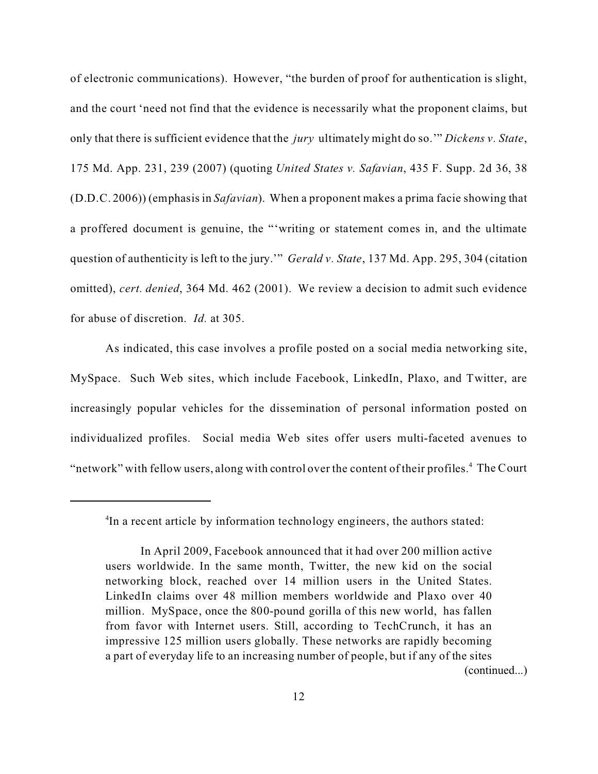of electronic communications). However, "the burden of proof for authentication is slight, and the court 'need not find that the evidence is necessarily what the proponent claims, but only that there is sufficient evidence that the *jury* ultimately might do so.'" *Dickens v. State*, 175 Md. App. 231, 239 (2007) (quoting *United States v. Safavian*, 435 F. Supp. 2d 36, 38 (D.D.C. 2006)) (emphasis in *Safavian*). When a proponent makes a prima facie showing that a proffered document is genuine, the "'writing or statement comes in, and the ultimate question of authenticity is left to the jury.'" *Gerald v. State*, 137 Md. App. 295, 304 (citation omitted), *cert. denied*, 364 Md. 462 (2001). We review a decision to admit such evidence for abuse of discretion. *Id.* at 305.

As indicated, this case involves a profile posted on a social media networking site, MySpace. Such Web sites, which include Facebook, LinkedIn, Plaxo, and Twitter, are increasingly popular vehicles for the dissemination of personal information posted on individualized profiles. Social media Web sites offer users multi-faceted avenues to "network" with fellow users, along with control over the content of their profiles.<sup>4</sup> The Court

<sup>4</sup> In a recent article by information technology engineers, the authors stated:

In April 2009, Facebook announced that it had over 200 million active users worldwide. In the same month, Twitter, the new kid on the social networking block, reached over 14 million users in the United States. LinkedIn claims over 48 million members worldwide and Plaxo over 40 million. MySpace, once the 800-pound gorilla of this new world, has fallen from favor with Internet users. Still, according to TechCrunch, it has an impressive 125 million users globally. These networks are rapidly becoming a part of everyday life to an increasing number of people, but if any of the sites (continued...)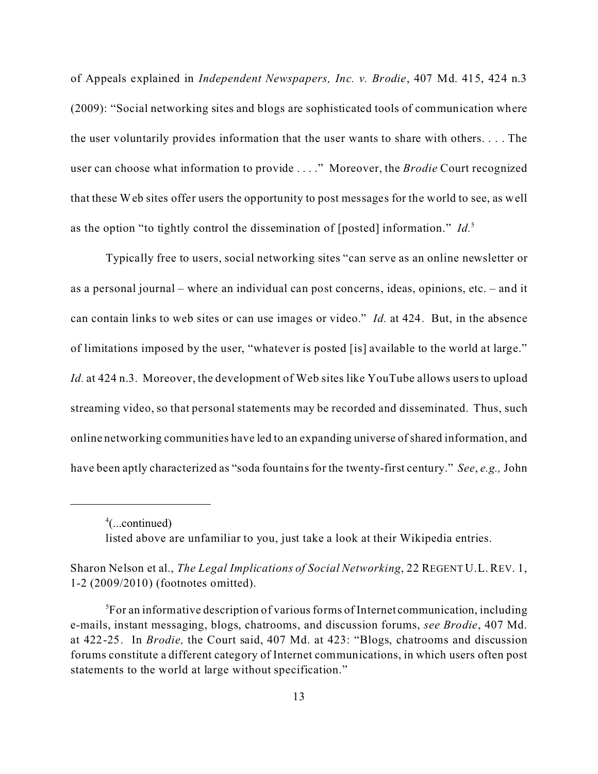of Appeals explained in *Independent Newspapers, Inc. v. Brodie*, 407 Md. 415, 424 n.3 (2009): "Social networking sites and blogs are sophisticated tools of communication where the user voluntarily provides information that the user wants to share with others. . . . The user can choose what information to provide . . . ." Moreover, the *Brodie* Court recognized that these Web sites offer users the opportunity to post messages for the world to see, as well as the option "to tightly control the dissemination of [posted] information." *Id.*<sup>5</sup>

Typically free to users, social networking sites "can serve as an online newsletter or as a personal journal – where an individual can post concerns, ideas, opinions, etc. – and it can contain links to web sites or can use images or video." *Id.* at 424. But, in the absence of limitations imposed by the user, "whatever is posted [is] available to the world at large." *Id.* at 424 n.3. Moreover, the development of Web sites like YouTube allows users to upload streaming video, so that personal statements may be recorded and disseminated. Thus, such online networking communities have led to an expanding universe ofshared information, and have been aptly characterized as "soda fountains for the twenty-first century." *See*, *e.g.,* John

<sup>4</sup> (...continued) listed above are unfamiliar to you, just take a look at their Wikipedia entries.

Sharon Nelson et al., *The Legal Implications of Social Networking*, 22 REGENT U.L.REV. 1, 1-2 (2009/2010) (footnotes omitted).

 ${}^{5}$ For an informative description of various forms of Internet communication, including e-mails, instant messaging, blogs, chatrooms, and discussion forums, *see Brodie*, 407 Md. at 422-25. In *Brodie,* the Court said, 407 Md. at 423: "Blogs, chatrooms and discussion forums constitute a different category of Internet communications, in which users often post statements to the world at large without specification."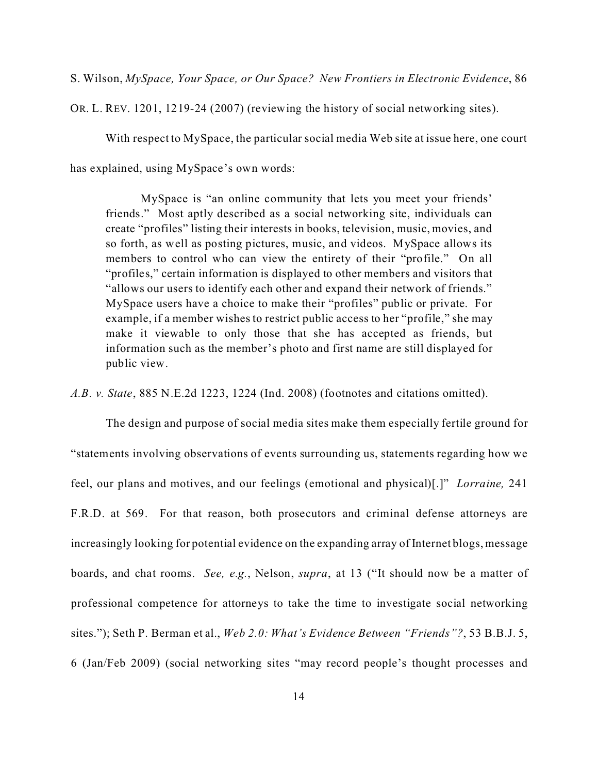S. Wilson, *MySpace, Your Space, or Our Space? New Frontiers in Electronic Evidence*, 86

OR. L. REV. 1201, 1219-24 (2007) (reviewing the history of social networking sites).

With respect to MySpace, the particular social media Web site at issue here, one court

has explained, using MySpace's own words:

MySpace is "an online community that lets you meet your friends' friends." Most aptly described as a social networking site, individuals can create "profiles" listing their interests in books, television, music, movies, and so forth, as well as posting pictures, music, and videos. MySpace allows its members to control who can view the entirety of their "profile." On all "profiles," certain information is displayed to other members and visitors that "allows our users to identify each other and expand their network of friends." MySpace users have a choice to make their "profiles" public or private. For example, if a member wishes to restrict public access to her "profile," she may make it viewable to only those that she has accepted as friends, but information such as the member's photo and first name are still displayed for public view.

*A.B. v. State*, 885 N.E.2d 1223, 1224 (Ind. 2008) (footnotes and citations omitted).

The design and purpose of social media sites make them especially fertile ground for "statements involving observations of events surrounding us, statements regarding how we feel, our plans and motives, and our feelings (emotional and physical)[.]" *Lorraine,* 241 F.R.D. at 569. For that reason, both prosecutors and criminal defense attorneys are increasingly looking for potential evidence on the expanding array of Internet blogs, message boards, and chat rooms. *See, e.g.*, Nelson, *supra*, at 13 ("It should now be a matter of professional competence for attorneys to take the time to investigate social networking sites."); Seth P. Berman et al., *Web 2.0: What's Evidence Between "Friends"?*, 53 B.B.J. 5, 6 (Jan/Feb 2009) (social networking sites "may record people's thought processes and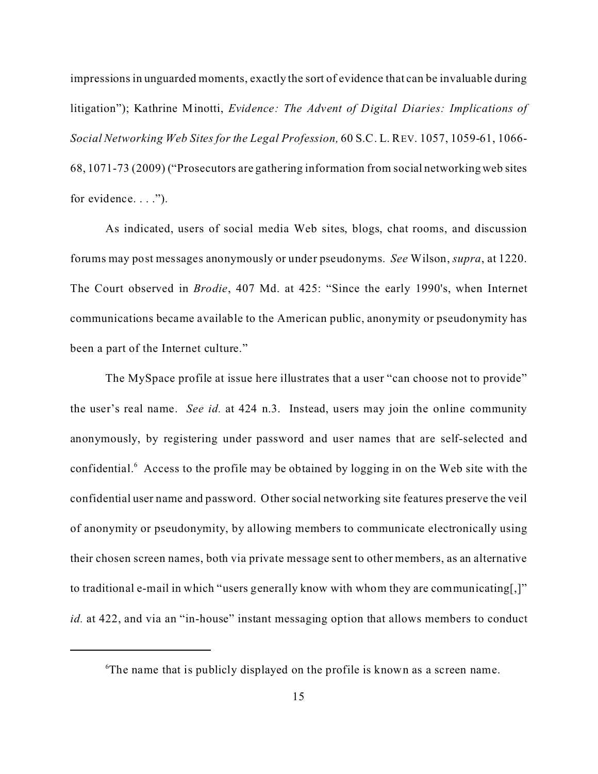impressions in unguarded moments, exactly the sort of evidence that can be invaluable during litigation"); Kathrine Minotti, *Evidence: The Advent of Digital Diaries: Implications of Social Networking Web Sites for the Legal Profession,* 60 S.C. L. REV. 1057, 1059-61, 1066- 68, 1071-73 (2009) ("Prosecutors are gathering information from social networking web sites for evidence. . . .").

As indicated, users of social media Web sites, blogs, chat rooms, and discussion forums may post messages anonymously or under pseudonyms. *See* Wilson, *supra*, at 1220. The Court observed in *Brodie*, 407 Md. at 425: "Since the early 1990's, when Internet communications became available to the American public, anonymity or pseudonymity has been a part of the Internet culture."

The MySpace profile at issue here illustrates that a user "can choose not to provide" the user's real name. *See id.* at 424 n.3. Instead, users may join the online community anonymously, by registering under password and user names that are self-selected and confidential.<sup>6</sup> Access to the profile may be obtained by logging in on the Web site with the confidential user name and password. Other social networking site features preserve the veil of anonymity or pseudonymity, by allowing members to communicate electronically using their chosen screen names, both via private message sent to other members, as an alternative to traditional e-mail in which "users generally know with whom they are communicating[,]" *id.* at 422, and via an "in-house" instant messaging option that allows members to conduct

<sup>6</sup>The name that is publicly displayed on the profile is known as a screen name.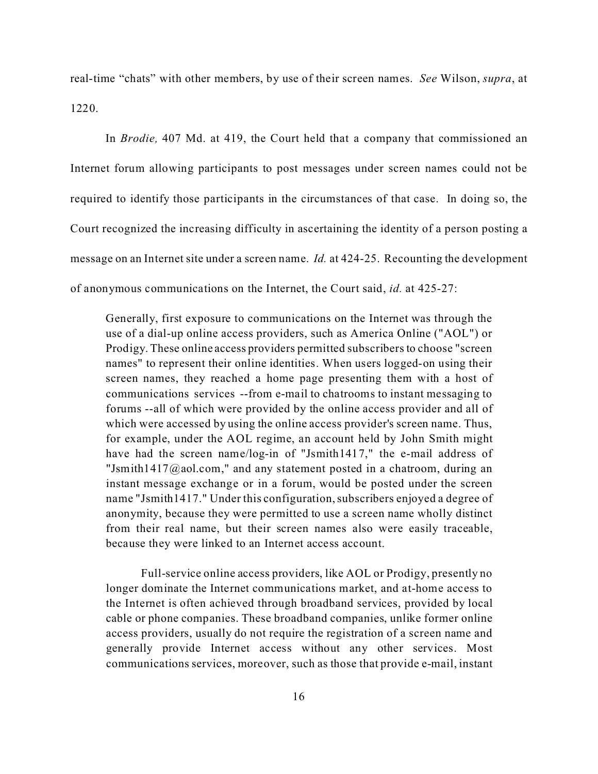real-time "chats" with other members, by use of their screen names. *See* Wilson, *supra*, at 1220.

In *Brodie,* 407 Md. at 419, the Court held that a company that commissioned an Internet forum allowing participants to post messages under screen names could not be required to identify those participants in the circumstances of that case. In doing so, the Court recognized the increasing difficulty in ascertaining the identity of a person posting a message on an Internet site under a screen name. *Id.* at 424-25. Recounting the development of anonymous communications on the Internet, the Court said, *id.* at 425-27:

Generally, first exposure to communications on the Internet was through the use of a dial-up online access providers, such as America Online ("AOL") or Prodigy. These online access providers permitted subscribers to choose "screen names" to represent their online identities. When users logged-on using their screen names, they reached a home page presenting them with a host of communications services --from e-mail to chatrooms to instant messaging to forums --all of which were provided by the online access provider and all of which were accessed by using the online access provider's screen name. Thus, for example, under the AOL regime, an account held by John Smith might have had the screen name/log-in of "Jsmith1417," the e-mail address of "Jsmith1417@aol.com," and any statement posted in a chatroom, during an instant message exchange or in a forum, would be posted under the screen name "Jsmith1417." Under this configuration, subscribers enjoyed a degree of anonymity, because they were permitted to use a screen name wholly distinct from their real name, but their screen names also were easily traceable, because they were linked to an Internet access account.

Full-service online access providers, like AOL or Prodigy, presently no longer dominate the Internet communications market, and at-home access to the Internet is often achieved through broadband services, provided by local cable or phone companies. These broadband companies, unlike former online access providers, usually do not require the registration of a screen name and generally provide Internet access without any other services. Most communications services, moreover, such as those that provide e-mail, instant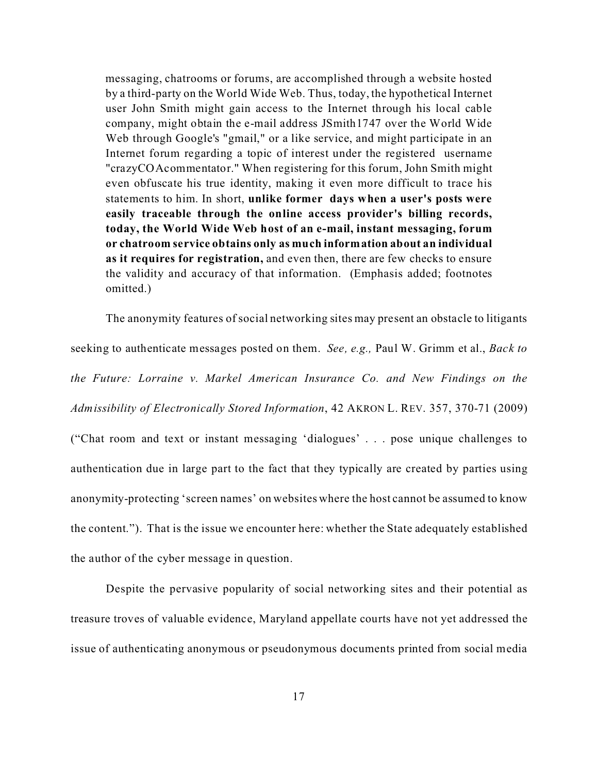messaging, chatrooms or forums, are accomplished through a website hosted by a third-party on the World Wide Web. Thus, today, the hypothetical Internet user John Smith might gain access to the Internet through his local cable company, might obtain the e-mail address JSmith1747 over the World Wide Web through Google's "gmail," or a like service, and might participate in an Internet forum regarding a topic of interest under the registered username "crazyCOAcommentator." When registering for this forum, John Smith might even obfuscate his true identity, making it even more difficult to trace his statements to him. In short, **unlike former days when a user's posts were easily traceable through the online access provider's billing records, today, the World Wide Web host of an e-mail, instant messaging, forum or chatroom service obtains only as much information about an individual as it requires for registration,** and even then, there are few checks to ensure the validity and accuracy of that information. (Emphasis added; footnotes omitted.)

The anonymity features of social networking sites may present an obstacle to litigants seeking to authenticate messages posted on them. *See, e.g.,* Paul W. Grimm et al., *Back to the Future: Lorraine v. Markel American Insurance Co. and New Findings on the Admissibility of Electronically Stored Information*, 42 AKRON L. REV. 357, 370-71 (2009) ("Chat room and text or instant messaging 'dialogues' . . . pose unique challenges to authentication due in large part to the fact that they typically are created by parties using anonymity-protecting 'screen names' on websites where the host cannot be assumed to know the content."). That is the issue we encounter here: whether the State adequately established the author of the cyber message in question.

Despite the pervasive popularity of social networking sites and their potential as treasure troves of valuable evidence, Maryland appellate courts have not yet addressed the issue of authenticating anonymous or pseudonymous documents printed from social media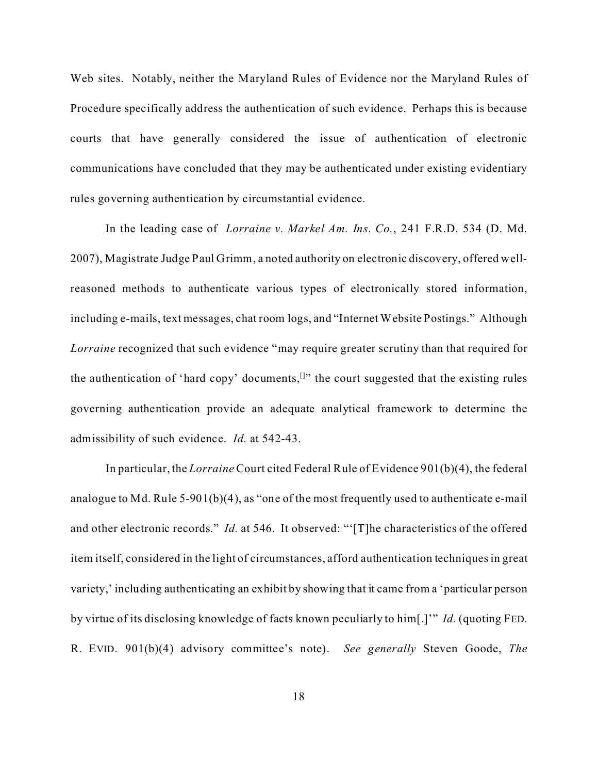Web sites. Notably, neither the Maryland Rules of Evidence nor the Maryland Rules of Procedure specifically address the authentication of such evidence. Perhaps this is because courts that have generally considered the issue of authentication of electronic communications have concluded that they may be authenticated under existing evidentiary rules governing authentication by circumstantial evidence.

In the leading case of *Lorraine v. Markel Am. Ins. Co.*, 241 F.R.D. 534 (D. Md. 2007), Magistrate Judge Paul Grimm, a noted authority on electronic discovery, offered wellreasoned methods to authenticate various types of electronically stored information, including e-mails, text messages, chat room logs, and "Internet Website Postings." Although *Lorraine* recognized that such evidence "may require greater scrutiny than that required for the authentication of 'hard copy' documents,  $[1]$ " the court suggested that the existing rules governing authentication provide an adequate analytical framework to determine the admissibility of such evidence. *Id.* at 542-43.

In particular, the *Lorraine* Court cited Federal Rule of Evidence 901(b)(4), the federal analogue to Md. Rule 5-901(b)(4), as "one of the most frequently used to authenticate e-mail and other electronic records." *Id.* at 546. It observed: "'[T]he characteristics of the offered item itself, considered in the light of circumstances, afford authentication techniques in great variety,' including authenticating an exhibit by showing that it came from a 'particular person by virtue of its disclosing knowledge of facts known peculiarly to him[.]'" *Id.* (quoting FED. R. EVID. 901(b)(4) advisory committee's note). *See generally* Steven Goode, *The*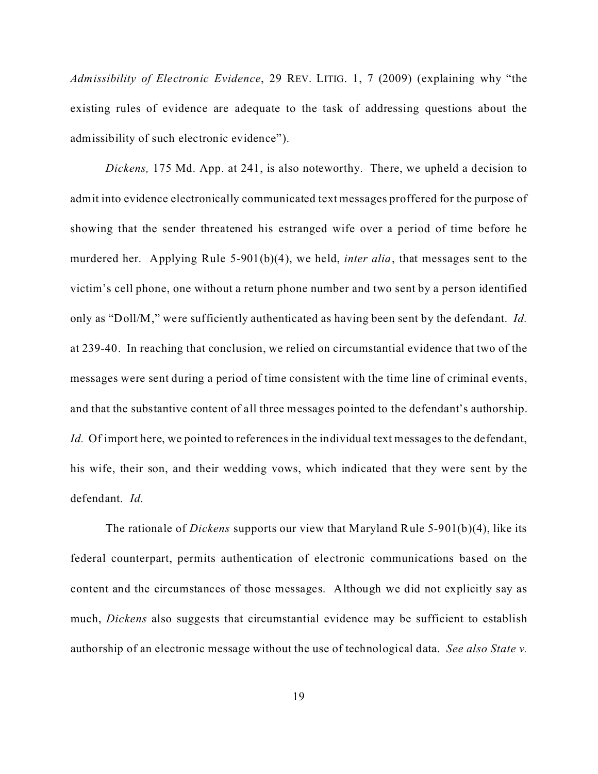*Admissibility of Electronic Evidence*, 29 REV. LITIG. 1, 7 (2009) (explaining why "the existing rules of evidence are adequate to the task of addressing questions about the admissibility of such electronic evidence").

*Dickens,* 175 Md. App. at 241, is also noteworthy. There, we upheld a decision to admit into evidence electronically communicated text messages proffered for the purpose of showing that the sender threatened his estranged wife over a period of time before he murdered her. Applying Rule 5-901(b)(4), we held, *inter alia*, that messages sent to the victim's cell phone, one without a return phone number and two sent by a person identified only as "Doll/M," were sufficiently authenticated as having been sent by the defendant. *Id.* at 239-40. In reaching that conclusion, we relied on circumstantial evidence that two of the messages were sent during a period of time consistent with the time line of criminal events, and that the substantive content of all three messages pointed to the defendant's authorship. *Id.* Of import here, we pointed to references in the individual text messages to the defendant, his wife, their son, and their wedding vows, which indicated that they were sent by the defendant. *Id.*

The rationale of *Dickens* supports our view that Maryland Rule 5-901(b)(4), like its federal counterpart, permits authentication of electronic communications based on the content and the circumstances of those messages. Although we did not explicitly say as much, *Dickens* also suggests that circumstantial evidence may be sufficient to establish authorship of an electronic message without the use of technological data. *See also State v.*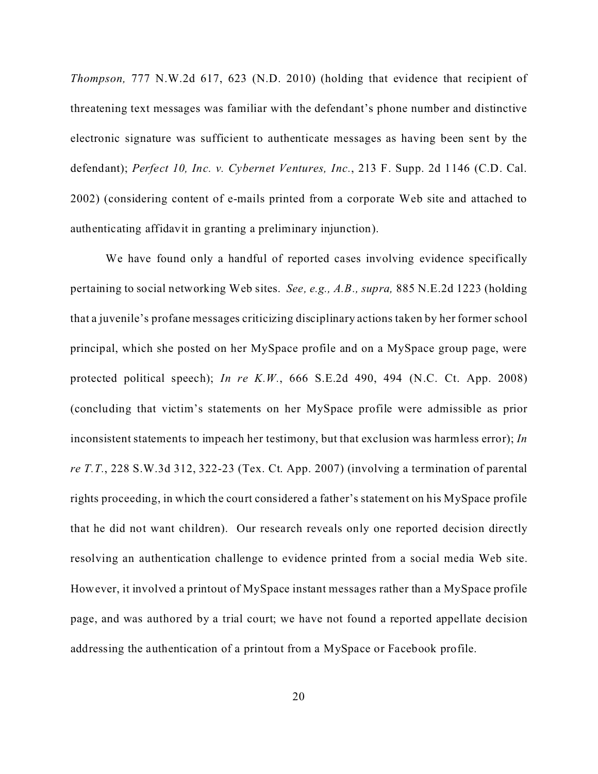*Thompson,* 777 N.W.2d 617, 623 (N.D. 2010) (holding that evidence that recipient of threatening text messages was familiar with the defendant's phone number and distinctive electronic signature was sufficient to authenticate messages as having been sent by the defendant); *Perfect 10, Inc. v. Cybernet Ventures, Inc.*, 213 F. Supp. 2d 1146 (C.D. Cal. 2002) (considering content of e-mails printed from a corporate Web site and attached to authenticating affidavit in granting a preliminary injunction).

We have found only a handful of reported cases involving evidence specifically pertaining to social networking Web sites. *See, e.g., A.B., supra,* 885 N.E.2d 1223 (holding that a juvenile's profane messages criticizing disciplinary actions taken by her former school principal, which she posted on her MySpace profile and on a MySpace group page, were protected political speech); *In re K.W.*, 666 S.E.2d 490, 494 (N.C. Ct. App. 2008) (concluding that victim's statements on her MySpace profile were admissible as prior inconsistent statements to impeach her testimony, but that exclusion was harmless error); *In re T.T.*, 228 S.W.3d 312, 322-23 (Tex. Ct. App. 2007) (involving a termination of parental rights proceeding, in which the court considered a father's statement on his MySpace profile that he did not want children). Our research reveals only one reported decision directly resolving an authentication challenge to evidence printed from a social media Web site. However, it involved a printout of MySpace instant messages rather than a MySpace profile page, and was authored by a trial court; we have not found a reported appellate decision addressing the authentication of a printout from a MySpace or Facebook profile.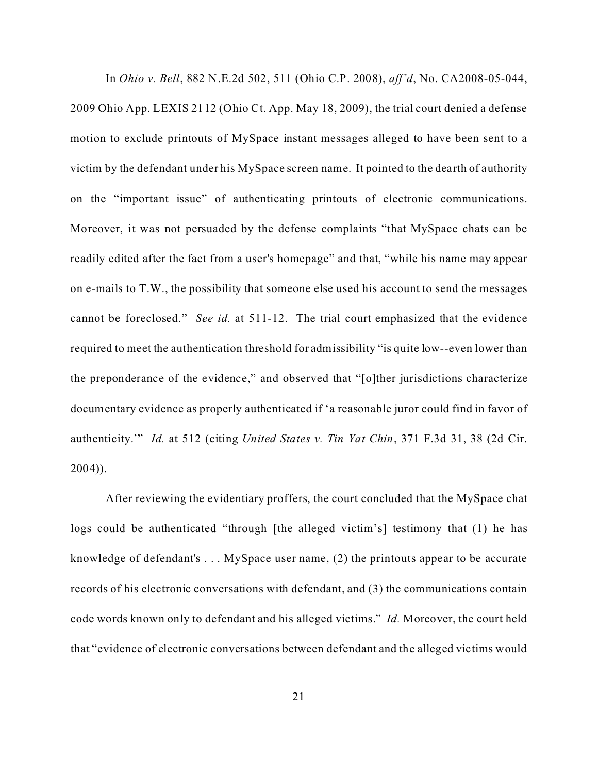In *Ohio v. Bell*, 882 N.E.2d 502, 511 (Ohio C.P. 2008), *aff'd*, No. CA2008-05-044, 2009 Ohio App. LEXIS 2112 (Ohio Ct. App. May 18, 2009), the trial court denied a defense motion to exclude printouts of MySpace instant messages alleged to have been sent to a victim by the defendant under his MySpace screen name. It pointed to the dearth of authority on the "important issue" of authenticating printouts of electronic communications. Moreover, it was not persuaded by the defense complaints "that MySpace chats can be readily edited after the fact from a user's homepage" and that, "while his name may appear on e-mails to T.W., the possibility that someone else used his account to send the messages cannot be foreclosed." *See id.* at 511-12. The trial court emphasized that the evidence required to meet the authentication threshold for admissibility "is quite low--even lower than the preponderance of the evidence," and observed that "[o]ther jurisdictions characterize documentary evidence as properly authenticated if 'a reasonable juror could find in favor of authenticity.'" *Id.* at 512 (citing *United States v. Tin Yat Chin*, 371 F.3d 31, 38 (2d Cir. 2004)).

After reviewing the evidentiary proffers, the court concluded that the MySpace chat logs could be authenticated "through [the alleged victim's] testimony that (1) he has knowledge of defendant's . . . MySpace user name, (2) the printouts appear to be accurate records of his electronic conversations with defendant, and (3) the communications contain code words known only to defendant and his alleged victims." *Id.* Moreover, the court held that "evidence of electronic conversations between defendant and the alleged victims would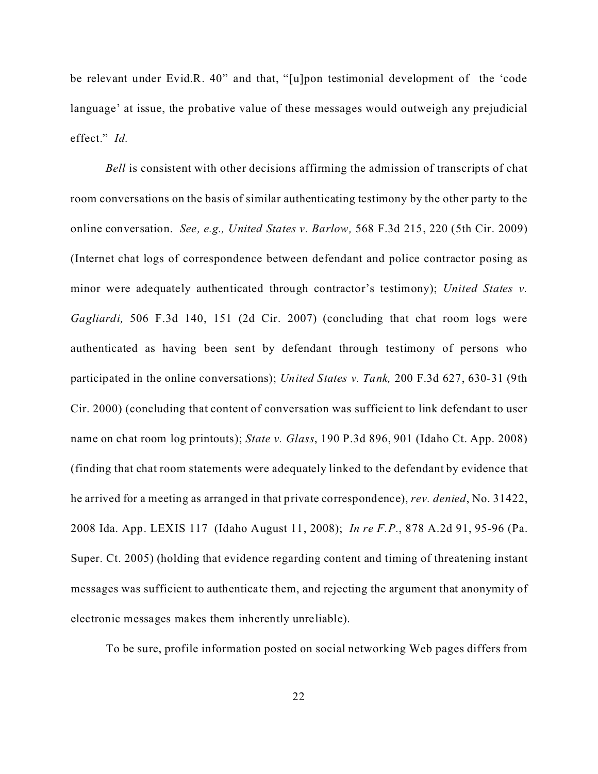be relevant under Evid.R. 40" and that, "[u]pon testimonial development of the 'code language' at issue, the probative value of these messages would outweigh any prejudicial effect." *Id.*

*Bell* is consistent with other decisions affirming the admission of transcripts of chat room conversations on the basis of similar authenticating testimony by the other party to the online conversation. *See, e.g., United States v. Barlow,* 568 F.3d 215, 220 (5th Cir. 2009) (Internet chat logs of correspondence between defendant and police contractor posing as minor were adequately authenticated through contractor's testimony); *United States v. Gagliardi,* 506 F.3d 140, 151 (2d Cir. 2007) (concluding that chat room logs were authenticated as having been sent by defendant through testimony of persons who participated in the online conversations); *United States v. Tank,* 200 F.3d 627, 630-31 (9th Cir. 2000) (concluding that content of conversation was sufficient to link defendant to user name on chat room log printouts); *State v. Glass*, 190 P.3d 896, 901 (Idaho Ct. App. 2008) (finding that chat room statements were adequately linked to the defendant by evidence that he arrived for a meeting as arranged in that private correspondence), *rev. denied*, No. 31422, 2008 Ida. App. LEXIS 117 (Idaho August 11, 2008); *In re F.P.*, 878 A.2d 91, 95-96 (Pa. Super. Ct. 2005) (holding that evidence regarding content and timing of threatening instant messages was sufficient to authenticate them, and rejecting the argument that anonymity of electronic messages makes them inherently unreliable).

To be sure, profile information posted on social networking Web pages differs from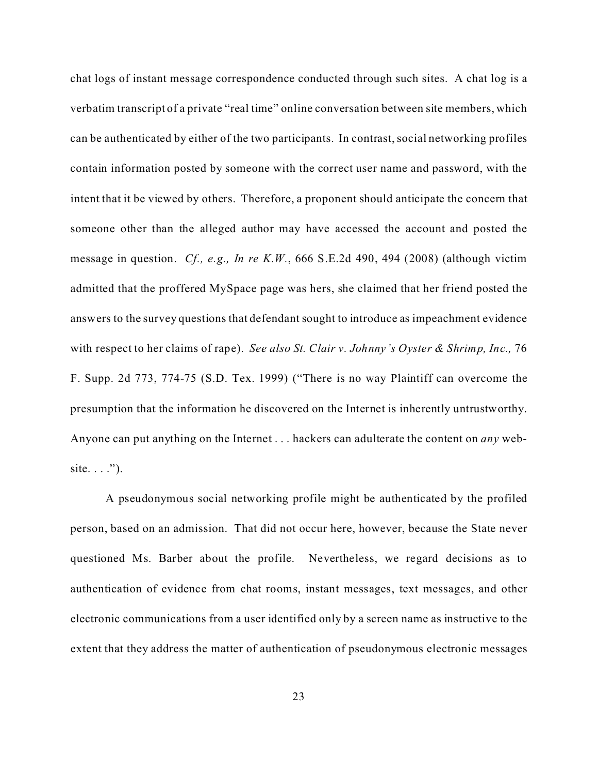chat logs of instant message correspondence conducted through such sites. A chat log is a verbatim transcript of a private "real time" online conversation between site members, which can be authenticated by either of the two participants. In contrast, social networking profiles contain information posted by someone with the correct user name and password, with the intent that it be viewed by others. Therefore, a proponent should anticipate the concern that someone other than the alleged author may have accessed the account and posted the message in question. *Cf., e.g., In re K.W.*, 666 S.E.2d 490, 494 (2008) (although victim admitted that the proffered MySpace page was hers, she claimed that her friend posted the answers to the survey questions that defendant sought to introduce as impeachment evidence with respect to her claims of rape). *See also St. Clair v. Johnny's Oyster & Shrimp, Inc.,* 76 F. Supp. 2d 773, 774-75 (S.D. Tex. 1999) ("There is no way Plaintiff can overcome the presumption that the information he discovered on the Internet is inherently untrustworthy. Anyone can put anything on the Internet . . . hackers can adulterate the content on *any* website.  $\ldots$ ").

A pseudonymous social networking profile might be authenticated by the profiled person, based on an admission. That did not occur here, however, because the State never questioned Ms. Barber about the profile. Nevertheless, we regard decisions as to authentication of evidence from chat rooms, instant messages, text messages, and other electronic communications from a user identified only by a screen name as instructive to the extent that they address the matter of authentication of pseudonymous electronic messages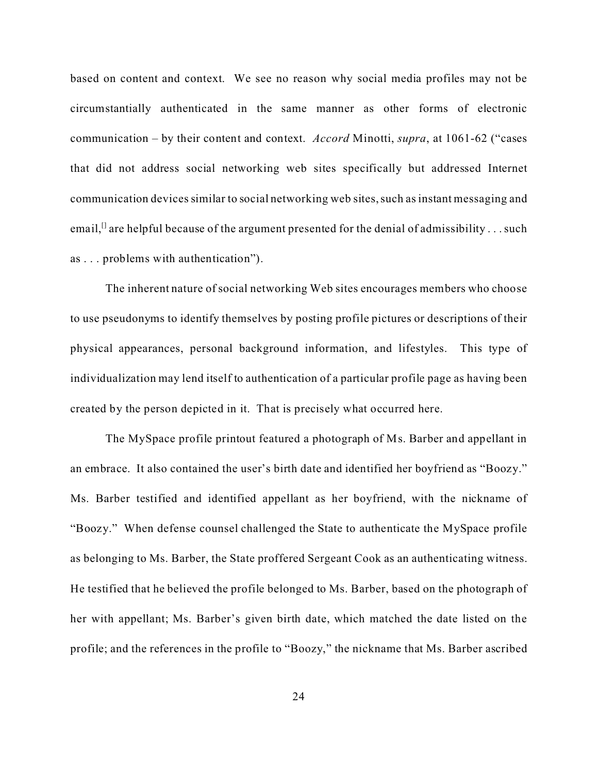based on content and context. We see no reason why social media profiles may not be circumstantially authenticated in the same manner as other forms of electronic communication – by their content and context. *Accord* Minotti, *supra*, at 1061-62 ("cases that did not address social networking web sites specifically but addressed Internet communication devices similar to social networking web sites, such as instant messaging and email,<sup> $\Omega$ </sup> are helpful because of the argument presented for the denial of admissibility . . . such as . . . problems with authentication").

The inherent nature of social networking Web sites encourages members who choose to use pseudonyms to identify themselves by posting profile pictures or descriptions of their physical appearances, personal background information, and lifestyles. This type of individualization may lend itself to authentication of a particular profile page as having been created by the person depicted in it. That is precisely what occurred here.

The MySpace profile printout featured a photograph of Ms. Barber and appellant in an embrace. It also contained the user's birth date and identified her boyfriend as "Boozy." Ms. Barber testified and identified appellant as her boyfriend, with the nickname of "Boozy." When defense counsel challenged the State to authenticate the MySpace profile as belonging to Ms. Barber, the State proffered Sergeant Cook as an authenticating witness. He testified that he believed the profile belonged to Ms. Barber, based on the photograph of her with appellant; Ms. Barber's given birth date, which matched the date listed on the profile; and the references in the profile to "Boozy," the nickname that Ms. Barber ascribed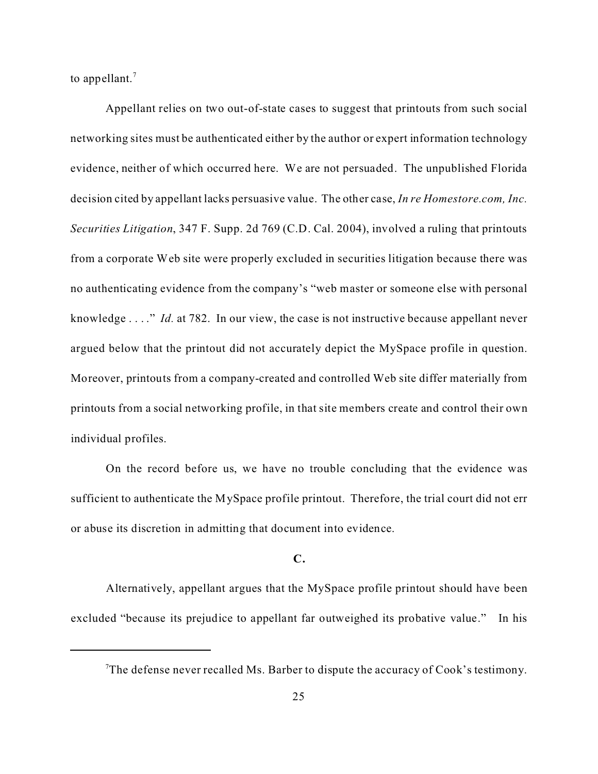to appellant.<sup>7</sup>

Appellant relies on two out-of-state cases to suggest that printouts from such social networking sites must be authenticated either by the author or expert information technology evidence, neither of which occurred here. We are not persuaded. The unpublished Florida decision cited by appellant lacks persuasive value. The other case, *In re Homestore.com, Inc. Securities Litigation*, 347 F. Supp. 2d 769 (C.D. Cal. 2004), involved a ruling that printouts from a corporate Web site were properly excluded in securities litigation because there was no authenticating evidence from the company's "web master or someone else with personal knowledge . . . ." *Id.* at 782. In our view, the case is not instructive because appellant never argued below that the printout did not accurately depict the MySpace profile in question. Moreover, printouts from a company-created and controlled Web site differ materially from printouts from a social networking profile, in that site members create and control their own individual profiles.

On the record before us, we have no trouble concluding that the evidence was sufficient to authenticate the MySpace profile printout. Therefore, the trial court did not err or abuse its discretion in admitting that document into evidence.

## **C.**

Alternatively, appellant argues that the MySpace profile printout should have been excluded "because its prejudice to appellant far outweighed its probative value." In his

<sup>&</sup>lt;sup>7</sup>The defense never recalled Ms. Barber to dispute the accuracy of Cook's testimony.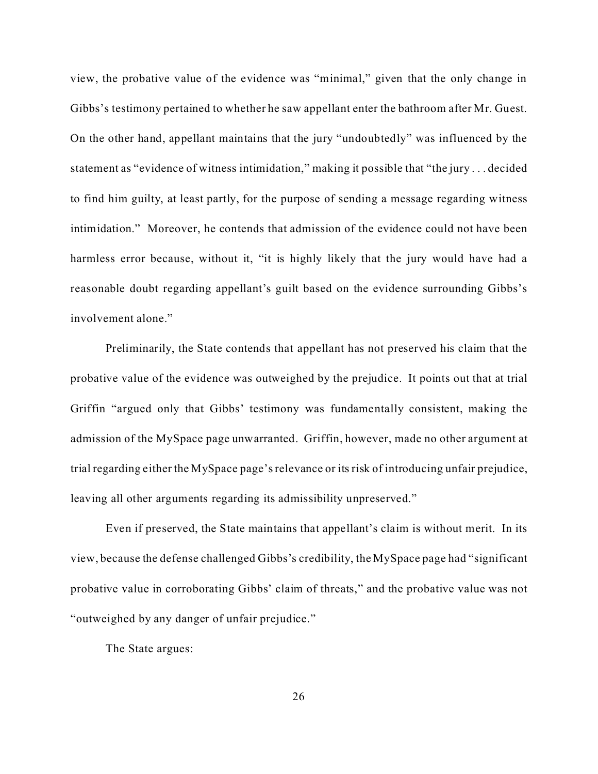view, the probative value of the evidence was "minimal," given that the only change in Gibbs's testimony pertained to whether he saw appellant enter the bathroom after Mr. Guest. On the other hand, appellant maintains that the jury "undoubtedly" was influenced by the statement as "evidence of witness intimidation," making it possible that "the jury . . . decided to find him guilty, at least partly, for the purpose of sending a message regarding witness intimidation." Moreover, he contends that admission of the evidence could not have been harmless error because, without it, "it is highly likely that the jury would have had a reasonable doubt regarding appellant's guilt based on the evidence surrounding Gibbs's involvement alone."

Preliminarily, the State contends that appellant has not preserved his claim that the probative value of the evidence was outweighed by the prejudice. It points out that at trial Griffin "argued only that Gibbs' testimony was fundamentally consistent, making the admission of the MySpace page unwarranted. Griffin, however, made no other argument at trial regarding either the MySpace page's relevance or its risk of introducing unfair prejudice, leaving all other arguments regarding its admissibility unpreserved."

Even if preserved, the State maintains that appellant's claim is without merit. In its view, because the defense challenged Gibbs's credibility, the MySpace page had "significant probative value in corroborating Gibbs' claim of threats," and the probative value was not "outweighed by any danger of unfair prejudice."

The State argues: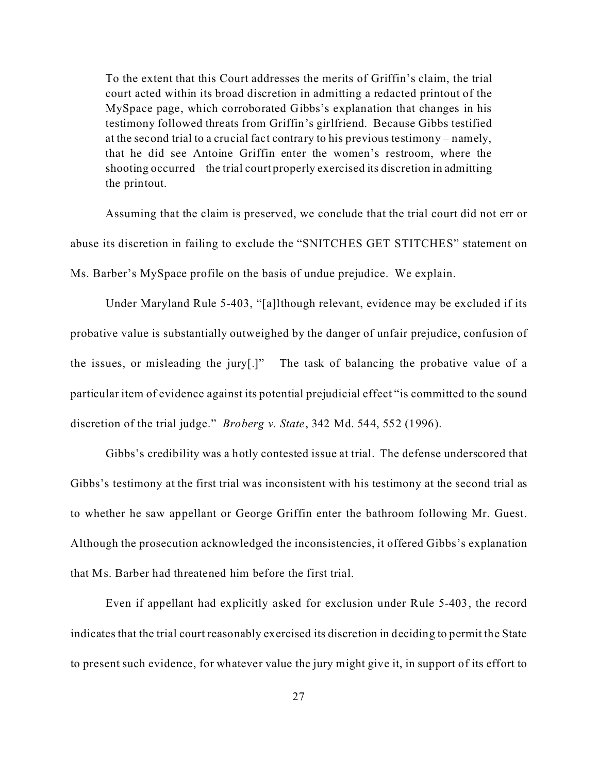To the extent that this Court addresses the merits of Griffin's claim, the trial court acted within its broad discretion in admitting a redacted printout of the MySpace page, which corroborated Gibbs's explanation that changes in his testimony followed threats from Griffin's girlfriend. Because Gibbs testified at the second trial to a crucial fact contrary to his previous testimony – namely, that he did see Antoine Griffin enter the women's restroom, where the shooting occurred – the trial court properly exercised its discretion in admitting the printout.

Assuming that the claim is preserved, we conclude that the trial court did not err or abuse its discretion in failing to exclude the "SNITCHES GET STITCHES" statement on Ms. Barber's MySpace profile on the basis of undue prejudice. We explain.

Under Maryland Rule 5-403, "[a]lthough relevant, evidence may be excluded if its probative value is substantially outweighed by the danger of unfair prejudice, confusion of the issues, or misleading the jury[.]" The task of balancing the probative value of a particular item of evidence against its potential prejudicial effect "is committed to the sound discretion of the trial judge." *Broberg v. State*, 342 Md. 544, 552 (1996).

Gibbs's credibility was a hotly contested issue at trial. The defense underscored that Gibbs's testimony at the first trial was inconsistent with his testimony at the second trial as to whether he saw appellant or George Griffin enter the bathroom following Mr. Guest. Although the prosecution acknowledged the inconsistencies, it offered Gibbs's explanation that Ms. Barber had threatened him before the first trial.

Even if appellant had explicitly asked for exclusion under Rule 5-403, the record indicates that the trial court reasonably exercised its discretion in deciding to permit the State to present such evidence, for whatever value the jury might give it, in support of its effort to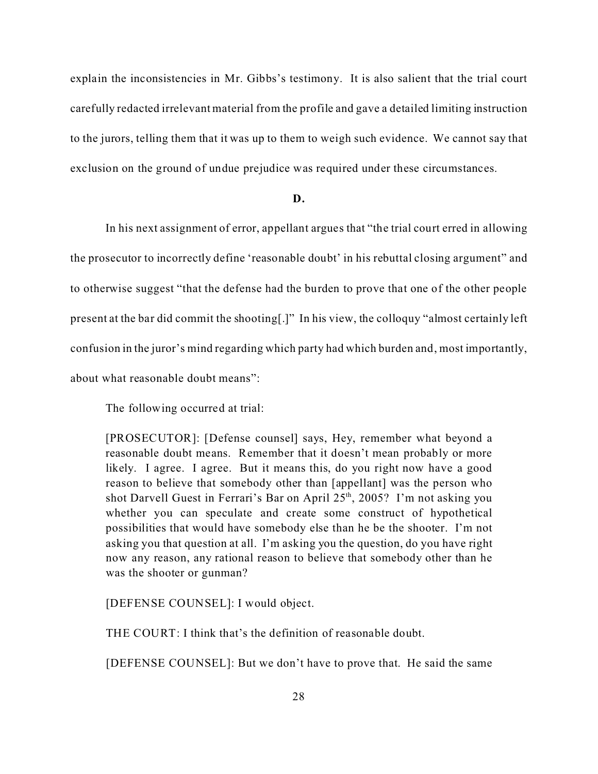explain the inconsistencies in Mr. Gibbs's testimony. It is also salient that the trial court carefully redacted irrelevant material from the profile and gave a detailed limiting instruction to the jurors, telling them that it was up to them to weigh such evidence. We cannot say that exclusion on the ground of undue prejudice was required under these circumstances.

#### **D.**

In his next assignment of error, appellant argues that "the trial court erred in allowing the prosecutor to incorrectly define 'reasonable doubt' in his rebuttal closing argument" and to otherwise suggest "that the defense had the burden to prove that one of the other people present at the bar did commit the shooting[.]" In his view, the colloquy "almost certainly left confusion in the juror's mind regarding which party had which burden and, most importantly, about what reasonable doubt means":

The following occurred at trial:

[PROSECUTOR]: [Defense counsel] says, Hey, remember what beyond a reasonable doubt means. Remember that it doesn't mean probably or more likely. I agree. I agree. But it means this, do you right now have a good reason to believe that somebody other than [appellant] was the person who shot Darvell Guest in Ferrari's Bar on April  $25<sup>th</sup>$ , 2005? I'm not asking you whether you can speculate and create some construct of hypothetical possibilities that would have somebody else than he be the shooter. I'm not asking you that question at all. I'm asking you the question, do you have right now any reason, any rational reason to believe that somebody other than he was the shooter or gunman?

[DEFENSE COUNSEL]: I would object.

THE COURT: I think that's the definition of reasonable doubt.

[DEFENSE COUNSEL]: But we don't have to prove that. He said the same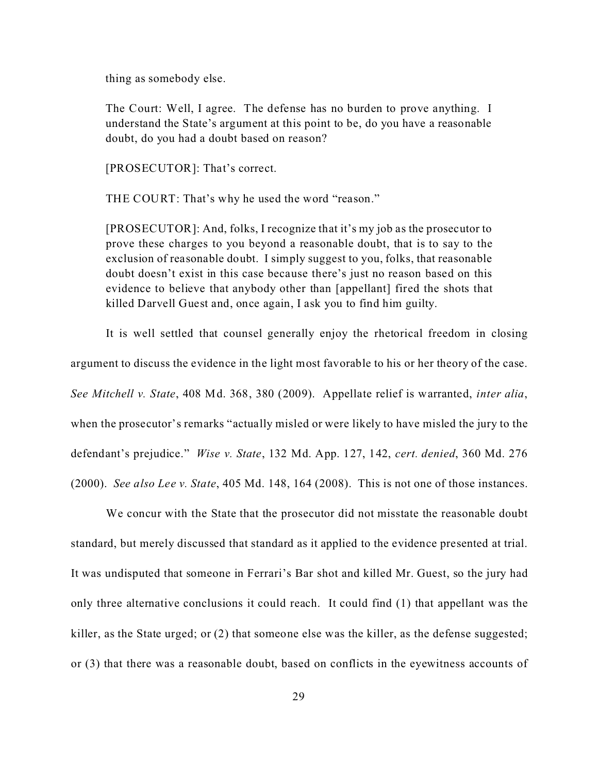thing as somebody else.

The Court: Well, I agree. The defense has no burden to prove anything. I understand the State's argument at this point to be, do you have a reasonable doubt, do you had a doubt based on reason?

[PROSECUTOR]: That's correct.

THE COURT: That's why he used the word "reason."

[PROSECUTOR]: And, folks, I recognize that it's my job as the prosecutor to prove these charges to you beyond a reasonable doubt, that is to say to the exclusion of reasonable doubt. I simply suggest to you, folks, that reasonable doubt doesn't exist in this case because there's just no reason based on this evidence to believe that anybody other than [appellant] fired the shots that killed Darvell Guest and, once again, I ask you to find him guilty.

It is well settled that counsel generally enjoy the rhetorical freedom in closing argument to discuss the evidence in the light most favorable to his or her theory of the case. *See Mitchell v. State*, 408 Md. 368, 380 (2009). Appellate relief is warranted, *inter alia*, when the prosecutor's remarks "actually misled or were likely to have misled the jury to the defendant's prejudice." *Wise v. State*, 132 Md. App. 127, 142, *cert. denied*, 360 Md. 276 (2000). *See also Lee v. State*, 405 Md. 148, 164 (2008). This is not one of those instances.

We concur with the State that the prosecutor did not misstate the reasonable doubt standard, but merely discussed that standard as it applied to the evidence presented at trial. It was undisputed that someone in Ferrari's Bar shot and killed Mr. Guest, so the jury had only three alternative conclusions it could reach. It could find (1) that appellant was the killer, as the State urged; or (2) that someone else was the killer, as the defense suggested; or (3) that there was a reasonable doubt, based on conflicts in the eyewitness accounts of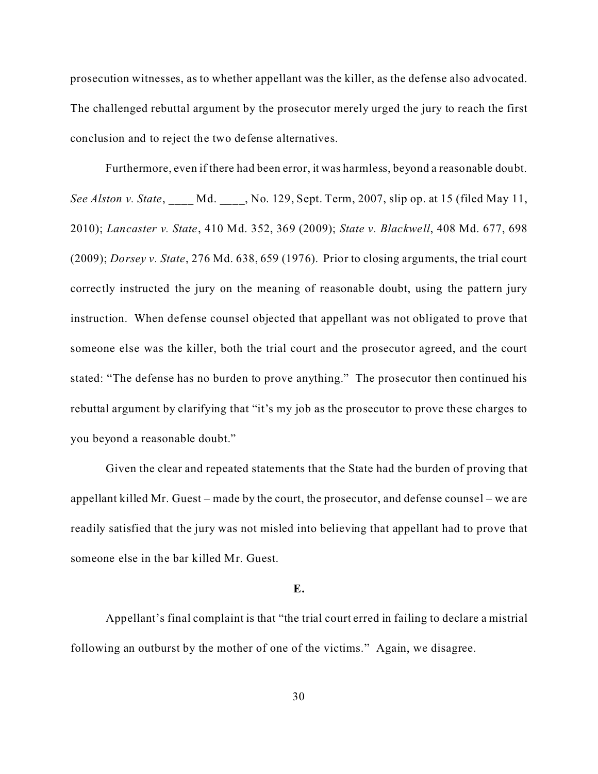prosecution witnesses, as to whether appellant was the killer, as the defense also advocated. The challenged rebuttal argument by the prosecutor merely urged the jury to reach the first conclusion and to reject the two defense alternatives.

Furthermore, even if there had been error, it was harmless, beyond a reasonable doubt. *See Alston v. State*, \_\_\_\_ Md. \_\_\_\_, No. 129, Sept. Term, 2007, slip op. at 15 (filed May 11, 2010); *Lancaster v. State*, 410 Md. 352, 369 (2009); *State v. Blackwell*, 408 Md. 677, 698 (2009); *Dorsey v. State*, 276 Md. 638, 659 (1976). Prior to closing arguments, the trial court correctly instructed the jury on the meaning of reasonable doubt, using the pattern jury instruction. When defense counsel objected that appellant was not obligated to prove that someone else was the killer, both the trial court and the prosecutor agreed, and the court stated: "The defense has no burden to prove anything." The prosecutor then continued his rebuttal argument by clarifying that "it's my job as the prosecutor to prove these charges to you beyond a reasonable doubt."

Given the clear and repeated statements that the State had the burden of proving that appellant killed Mr. Guest – made by the court, the prosecutor, and defense counsel – we are readily satisfied that the jury was not misled into believing that appellant had to prove that someone else in the bar killed Mr. Guest.

### **E.**

Appellant's final complaint is that "the trial court erred in failing to declare a mistrial following an outburst by the mother of one of the victims." Again, we disagree.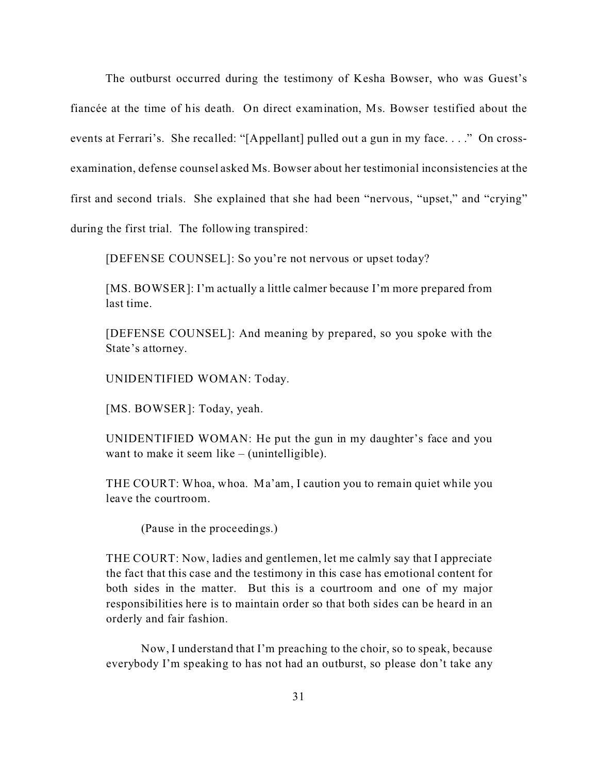The outburst occurred during the testimony of Kesha Bowser, who was Guest's fiancée at the time of his death. On direct examination, Ms. Bowser testified about the events at Ferrari's. She recalled: "[Appellant] pulled out a gun in my face. . . ." On crossexamination, defense counsel asked Ms. Bowser about her testimonial inconsistencies at the first and second trials. She explained that she had been "nervous, "upset," and "crying" during the first trial. The following transpired:

[DEFENSE COUNSEL]: So you're not nervous or upset today?

[MS. BOWSER]: I'm actually a little calmer because I'm more prepared from last time.

[DEFENSE COUNSEL]: And meaning by prepared, so you spoke with the State's attorney.

UNIDENTIFIED WOMAN: Today.

[MS. BOWSER]: Today, yeah.

UNIDENTIFIED WOMAN: He put the gun in my daughter's face and you want to make it seem like – (unintelligible).

THE COURT: Whoa, whoa. Ma'am, I caution you to remain quiet while you leave the courtroom.

(Pause in the proceedings.)

THE COURT: Now, ladies and gentlemen, let me calmly say that I appreciate the fact that this case and the testimony in this case has emotional content for both sides in the matter. But this is a courtroom and one of my major responsibilities here is to maintain order so that both sides can be heard in an orderly and fair fashion.

Now, I understand that I'm preaching to the choir, so to speak, because everybody I'm speaking to has not had an outburst, so please don't take any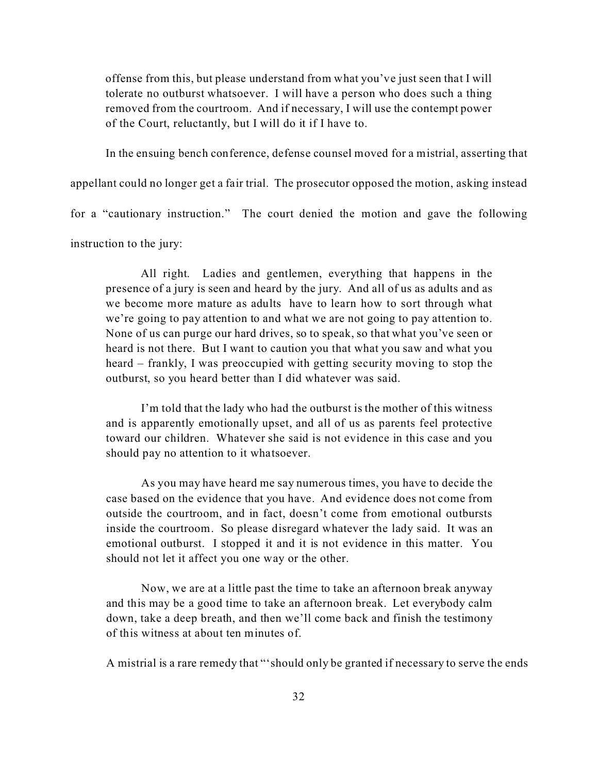offense from this, but please understand from what you've just seen that I will tolerate no outburst whatsoever. I will have a person who does such a thing removed from the courtroom. And if necessary, I will use the contempt power of the Court, reluctantly, but I will do it if I have to.

In the ensuing bench conference, defense counsel moved for a mistrial, asserting that

appellant could no longer get a fair trial. The prosecutor opposed the motion, asking instead

for a "cautionary instruction." The court denied the motion and gave the following

instruction to the jury:

All right. Ladies and gentlemen, everything that happens in the presence of a jury is seen and heard by the jury. And all of us as adults and as we become more mature as adults have to learn how to sort through what we're going to pay attention to and what we are not going to pay attention to. None of us can purge our hard drives, so to speak, so that what you've seen or heard is not there. But I want to caution you that what you saw and what you heard – frankly, I was preoccupied with getting security moving to stop the outburst, so you heard better than I did whatever was said.

I'm told that the lady who had the outburst is the mother of this witness and is apparently emotionally upset, and all of us as parents feel protective toward our children. Whatever she said is not evidence in this case and you should pay no attention to it whatsoever.

As you may have heard me say numerous times, you have to decide the case based on the evidence that you have. And evidence does not come from outside the courtroom, and in fact, doesn't come from emotional outbursts inside the courtroom. So please disregard whatever the lady said. It was an emotional outburst. I stopped it and it is not evidence in this matter. You should not let it affect you one way or the other.

Now, we are at a little past the time to take an afternoon break anyway and this may be a good time to take an afternoon break. Let everybody calm down, take a deep breath, and then we'll come back and finish the testimony of this witness at about ten minutes of.

A mistrial is a rare remedy that "'should only be granted if necessary to serve the ends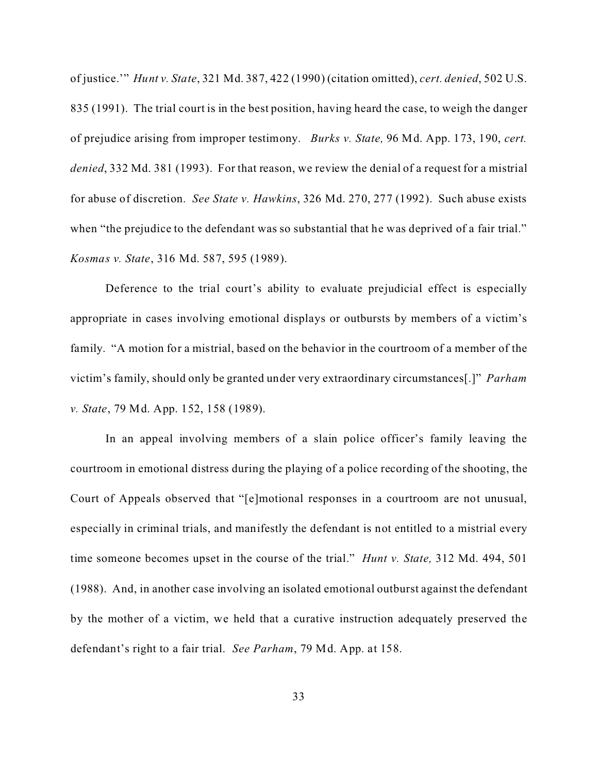of justice.'" *Hunt v. State*, 321 Md. 387, 422 (1990) (citation omitted), *cert. denied*, 502 U.S. 835 (1991). The trial court is in the best position, having heard the case, to weigh the danger of prejudice arising from improper testimony. *Burks v. State,* 96 Md. App. 173, 190, *cert. denied*, 332 Md. 381 (1993). For that reason, we review the denial of a request for a mistrial for abuse of discretion. *See State v. Hawkins*, 326 Md. 270, 277 (1992). Such abuse exists when "the prejudice to the defendant was so substantial that he was deprived of a fair trial." *Kosmas v. State*, 316 Md. 587, 595 (1989).

Deference to the trial court's ability to evaluate prejudicial effect is especially appropriate in cases involving emotional displays or outbursts by members of a victim's family. "A motion for a mistrial, based on the behavior in the courtroom of a member of the victim's family, should only be granted under very extraordinary circumstances[.]" *Parham v. State*, 79 Md. App. 152, 158 (1989).

In an appeal involving members of a slain police officer's family leaving the courtroom in emotional distress during the playing of a police recording of the shooting, the Court of Appeals observed that "[e]motional responses in a courtroom are not unusual, especially in criminal trials, and manifestly the defendant is not entitled to a mistrial every time someone becomes upset in the course of the trial." *Hunt v. State,* 312 Md. 494, 501 (1988). And, in another case involving an isolated emotional outburst against the defendant by the mother of a victim, we held that a curative instruction adequately preserved the defendant's right to a fair trial. *See Parham*, 79 Md. App. at 158.